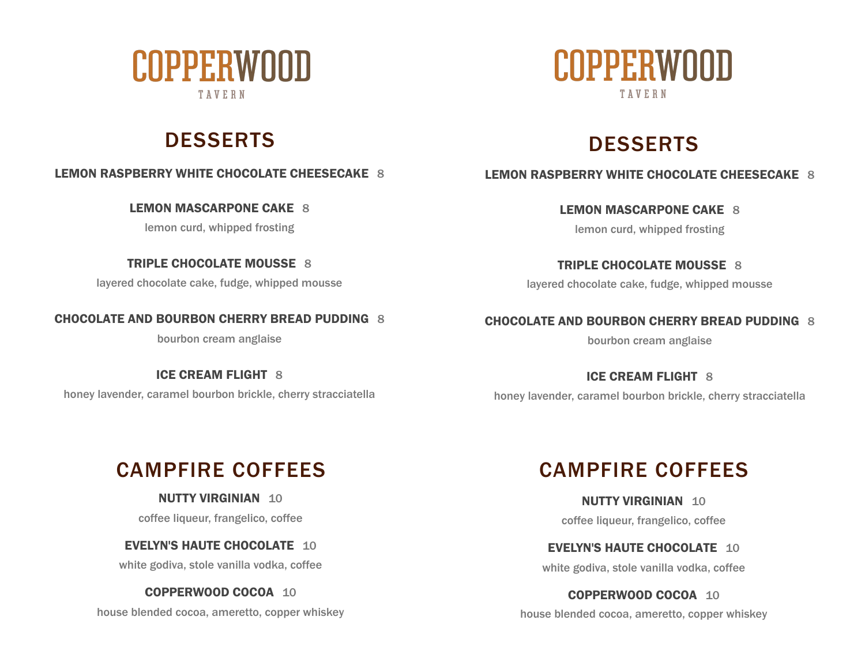

# DESSERTS DESSERTS

**LEMON RASPBERRY WHITE CHOCOLATE CHEESECAKE** 8

**LEMON MASCARPONE CAKE** 8

lemon curd, whipped frosting

**TRIPLE CHOCOLATE MOUSSE** 8

layered chocolate cake, fudge, whipped mousse

**CHOCOLATE AND BOURBON CHERRY BREAD PUDDING** 8

bourbon cream anglaise

**ICE CREAM FLIGHT** 8 honey lavender, caramel bourbon brickle, cherry stracciatella



### **LEMON RASPBERRY WHITE CHOCOLATE CHEESECAKE** 8

**LEMON MASCARPONE CAKE** 8

lemon curd, whipped frosting

**TRIPLE CHOCOLATE MOUSSE** 8 layered chocolate cake, fudge, whipped mousse

**CHOCOLATE AND BOURBON CHERRY BREAD PUDDING** 8

bourbon cream anglaise

**ICE CREAM FLIGHT** 8 honey lavender, caramel bourbon brickle, cherry stracciatella

# CAMPFIRE COFFEES CAMPFIRE COFFEES

**NUTTY VIRGINIAN** 10 coffee liqueur, frangelico, coffee

**EVELYN'S HAUTE CHOCOLATE** 10

white godiva, stole vanilla vodka, coffee

**COPPERWOOD COCOA** 10

house blended cocoa, ameretto, copper whiskey

**NUTTY VIRGINIAN** 10 coffee liqueur, frangelico, coffee

**EVELYN'S HAUTE CHOCOLATE** 10

white godiva, stole vanilla vodka, coffee

**COPPERWOOD COCOA** 10

house blended cocoa, ameretto, copper whiskey